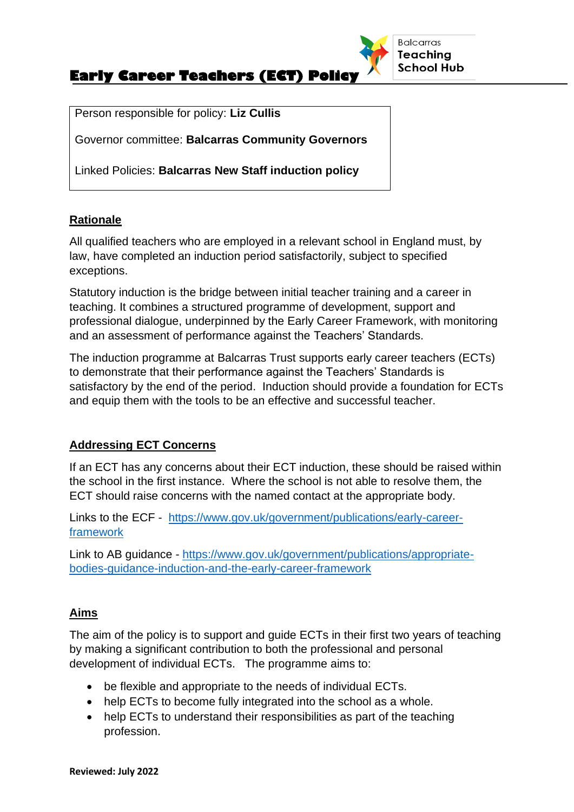

Person responsible for policy: **Liz Cullis**

Governor committee: **Balcarras Community Governors** 

Linked Policies: **Balcarras New Staff induction policy**

#### **Rationale**

All qualified teachers who are employed in a relevant school in England must, by law, have completed an induction period satisfactorily, subject to specified exceptions.

Statutory induction is the bridge between initial teacher training and a career in teaching. It combines a structured programme of development, support and professional dialogue, underpinned by the Early Career Framework, with monitoring and an assessment of performance against the Teachers' Standards.

The induction programme at Balcarras Trust supports early career teachers (ECTs) to demonstrate that their performance against the Teachers' Standards is satisfactory by the end of the period. Induction should provide a foundation for ECTs and equip them with the tools to be an effective and successful teacher.

### **Addressing ECT Concerns**

If an ECT has any concerns about their ECT induction, these should be raised within the school in the first instance. Where the school is not able to resolve them, the ECT should raise concerns with the named contact at the appropriate body.

Links to the ECF - [https://www.gov.uk/government/publications/early-career](https://www.gov.uk/government/publications/early-career-framework)[framework](https://www.gov.uk/government/publications/early-career-framework)

Link to AB guidance - [https://www.gov.uk/government/publications/appropriate](https://www.gov.uk/government/publications/appropriate-bodies-guidance-induction-and-the-early-career-framework)[bodies-guidance-induction-and-the-early-career-framework](https://www.gov.uk/government/publications/appropriate-bodies-guidance-induction-and-the-early-career-framework)

#### **Aims**

The aim of the policy is to support and guide ECTs in their first two years of teaching by making a significant contribution to both the professional and personal development of individual ECTs. The programme aims to:

- be flexible and appropriate to the needs of individual ECTs.
- help ECTs to become fully integrated into the school as a whole.
- help ECTs to understand their responsibilities as part of the teaching profession.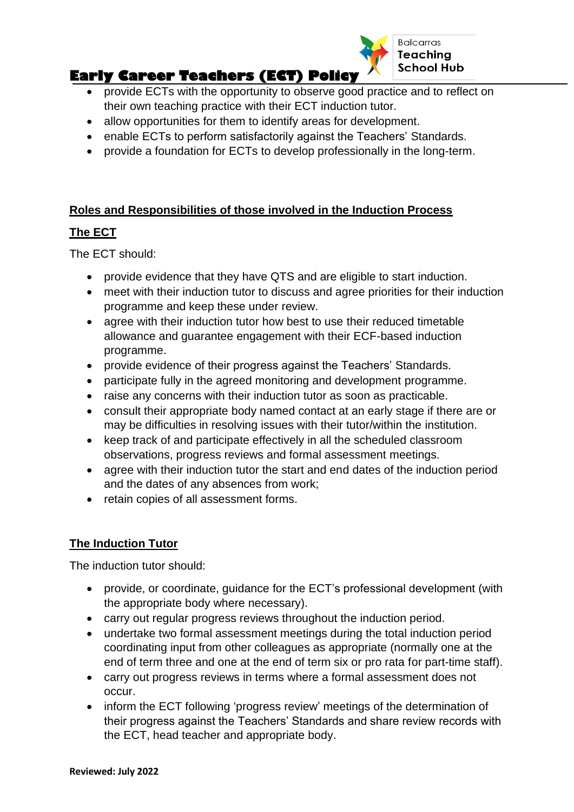

### **Early Career Teachers (ECT) Policy** • provide ECTs with the opportunity to observe good practice and to reflect on their own teaching practice with their ECT induction tutor.

- allow opportunities for them to identify areas for development.
- enable ECTs to perform satisfactorily against the Teachers' Standards.
- provide a foundation for ECTs to develop professionally in the long-term.

### **Roles and Responsibilities of those involved in the Induction Process**

### **The ECT**

The ECT should:

- provide evidence that they have QTS and are eligible to start induction.
- meet with their induction tutor to discuss and agree priorities for their induction programme and keep these under review.
- agree with their induction tutor how best to use their reduced timetable allowance and guarantee engagement with their ECF-based induction programme.
- provide evidence of their progress against the Teachers' Standards.
- participate fully in the agreed monitoring and development programme.
- raise any concerns with their induction tutor as soon as practicable.
- consult their appropriate body named contact at an early stage if there are or may be difficulties in resolving issues with their tutor/within the institution.
- keep track of and participate effectively in all the scheduled classroom observations, progress reviews and formal assessment meetings.
- agree with their induction tutor the start and end dates of the induction period and the dates of any absences from work;
- retain copies of all assessment forms.

## **The Induction Tutor**

The induction tutor should:

- provide, or coordinate, guidance for the ECT's professional development (with the appropriate body where necessary).
- carry out regular progress reviews throughout the induction period.
- undertake two formal assessment meetings during the total induction period coordinating input from other colleagues as appropriate (normally one at the end of term three and one at the end of term six or pro rata for part-time staff).
- carry out progress reviews in terms where a formal assessment does not occur.
- inform the ECT following 'progress review' meetings of the determination of their progress against the Teachers' Standards and share review records with the ECT, head teacher and appropriate body.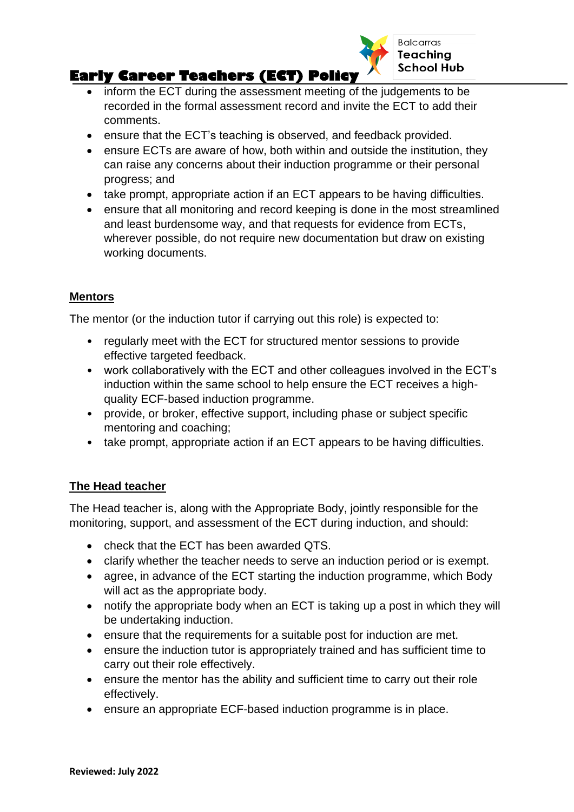

# **Early Career Teachers (ECT) Policy**

- inform the ECT during the assessment meeting of the judgements to be recorded in the formal assessment record and invite the ECT to add their comments.
- ensure that the ECT's teaching is observed, and feedback provided.
- ensure ECTs are aware of how, both within and outside the institution, they can raise any concerns about their induction programme or their personal progress; and
- take prompt, appropriate action if an ECT appears to be having difficulties.
- ensure that all monitoring and record keeping is done in the most streamlined and least burdensome way, and that requests for evidence from ECTs, wherever possible, do not require new documentation but draw on existing working documents.

## **Mentors**

The mentor (or the induction tutor if carrying out this role) is expected to:

- regularly meet with the ECT for structured mentor sessions to provide effective targeted feedback.
- work collaboratively with the ECT and other colleagues involved in the ECT's induction within the same school to help ensure the ECT receives a highquality ECF-based induction programme.
- provide, or broker, effective support, including phase or subject specific mentoring and coaching;
- take prompt, appropriate action if an ECT appears to be having difficulties.

## **The Head teacher**

The Head teacher is, along with the Appropriate Body, jointly responsible for the monitoring, support, and assessment of the ECT during induction, and should:

- check that the ECT has been awarded QTS.
- clarify whether the teacher needs to serve an induction period or is exempt.
- agree, in advance of the ECT starting the induction programme, which Body will act as the appropriate body.
- notify the appropriate body when an ECT is taking up a post in which they will be undertaking induction.
- ensure that the requirements for a suitable post for induction are met.
- ensure the induction tutor is appropriately trained and has sufficient time to carry out their role effectively.
- ensure the mentor has the ability and sufficient time to carry out their role effectively.
- ensure an appropriate ECF-based induction programme is in place.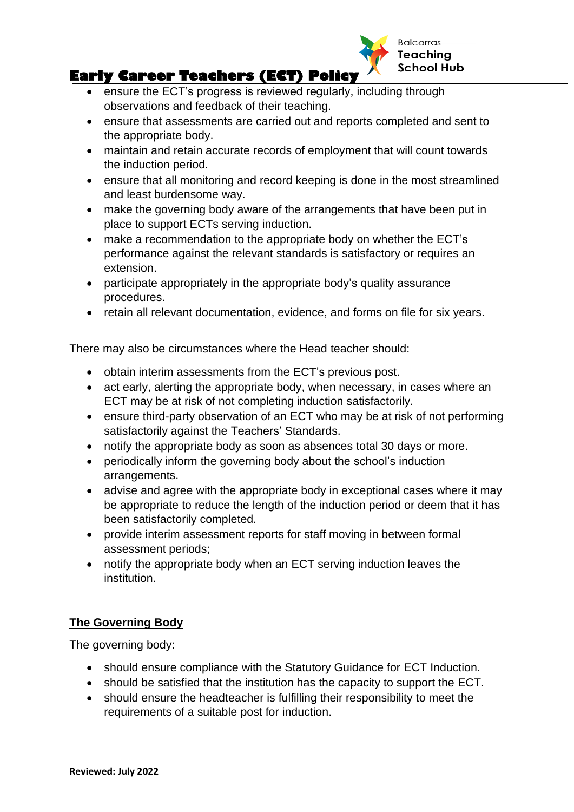

# **Early Career Teachers (ECT) Policy**

- ensure the ECT's progress is reviewed regularly, including through observations and feedback of their teaching.
- ensure that assessments are carried out and reports completed and sent to the appropriate body.
- maintain and retain accurate records of employment that will count towards the induction period.
- ensure that all monitoring and record keeping is done in the most streamlined and least burdensome way.
- make the governing body aware of the arrangements that have been put in place to support ECTs serving induction.
- make a recommendation to the appropriate body on whether the ECT's performance against the relevant standards is satisfactory or requires an extension.
- participate appropriately in the appropriate body's quality assurance procedures.
- retain all relevant documentation, evidence, and forms on file for six years.

There may also be circumstances where the Head teacher should:

- obtain interim assessments from the ECT's previous post.
- act early, alerting the appropriate body, when necessary, in cases where an ECT may be at risk of not completing induction satisfactorily.
- ensure third-party observation of an ECT who may be at risk of not performing satisfactorily against the Teachers' Standards.
- notify the appropriate body as soon as absences total 30 days or more.
- periodically inform the governing body about the school's induction arrangements.
- advise and agree with the appropriate body in exceptional cases where it may be appropriate to reduce the length of the induction period or deem that it has been satisfactorily completed.
- provide interim assessment reports for staff moving in between formal assessment periods;
- notify the appropriate body when an ECT serving induction leaves the institution.

### **The Governing Body**

The governing body:

- should ensure compliance with the Statutory Guidance for ECT Induction.
- should be satisfied that the institution has the capacity to support the ECT.
- should ensure the headteacher is fulfilling their responsibility to meet the requirements of a suitable post for induction.